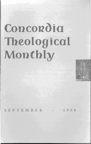# Concordia **Theological**  . **Monthly**



EPTEMBER · 1958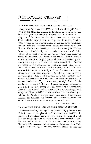#### METHODIST APOSTASY: FROM FREE GRACE TO FREE WILL

*Religion in Life* (Summer 1958), under this heading, publishes an article by the Methodist minister R. E. Chiles, based on his doctor's dissertation (Union, Columbia), in which the author traces the development of American Methodism from "free grace" to "free will." What Dr. Chiles writes is clear, thorough, and frank and, therefore, worth reading. As the latest and most pronounced of the "Methodist apostates" from the "Wesleyan norm" he cites the systematician, Prof. Albert C. Knudson (1873-1953). The writer states John Wesley's Arminian trend both lucidly and accurately. His answer to Calvinism was that divine grace is "for all" and "in all." "Every man shares the benefits of the atonement as it arrests the sentence of death, provides for the cancellation of original guilt, and bestows prevenient grace." This prevenient grace is the source of man's responsibility. "Because God works in every man, man *can* (italics original) work; because God works in man, man *must* (italics original) work." "That man must work follows from his ability to do so. God does not save man without regard for man's response to the offer of grace. And it is prevenient grace which lays the foundation for this response." How did this "Wesleyan free grace" fare among American Methodists during the one hundred and fifty years following Wesley's death? In the modification of Wesley's doctrine of grace the author distinguishes three periods, the third ending in 1933. From Wesley's strong soteriological concern the discussion gradually shifted to an anthropological setting until Knudson held that man by nature is free to choose good and God. For Wesley divine prevenient grace was the basis of man's freedom; for Knudson this freedom was intrinsic to man's own nature. It was a matter not of redemption, but of creation.

JOHN THEODORE MUELLER

## THE BYZANTINE CHURCH AND THE PRESENTNESS OF THE PAST

Under this heading, *Theology Today* (April 1958) publishes a gist of the fundamental thoughts which Edwin Hatch (1835-1889) developed in his Hibbert Lectures of 1888 on the "Influence of Greek Ideas and Usages upon the Christian Church" that appeared in 1889, after the author's death. These lectures have now been reprinted (E. Hatch. *The Influence of Greek Ideas on Christianity.* New York: Harper Torchbooks, 1957) and well received, despite the fact that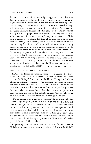67 years have passed since their original appearance. At that time there were many who disagreed with the writer's views. It is nevertheless true that the Byzantine Church was deeply influenced by Greek classical thought. "The Greek Church ... made the classical heritage, in its best aspects, a part of its own intellectual life." ". . . many of the Greek Christian thinkers felt that some of the classical writers, notably Plato, had propounded such teaching that they were entitled to be considered forerunners - though only forerunners - of Christianity. Again, it was found that classical thought was after all sufficiently universal, and sufficiently concerned with humanity, to be capable of being fitted into the Christian faith, whose roots were strong enough to permit it to take over and transform elements from the culture of the world in which it found itself. The result made itself felt not only in speculation but in education and daily life." " $\ldots$  we may surmise that the real source of the inner strength of the Byzantine Empire and the reason why it survived for such a long career in the Greek East ... was the Byzantine cultural tradition, which we have attempted to describe here, based on the Bible and on the ancient national pride of the Greek people." JOHN THEODORE MUELLER

#### EXCERPTS FROM RELIGIOUS NEWS SERVICE

*Berlin.* - A declaration warning young people against the "heavy burden of a divided faith" involved in mixed marriages was issued here by the Bishops' Conference of the United Evangelical Lutheran Church in Germany (VELKD). The statement was issued in connection with a meeting of the VELKD synod and was ordered to be read in all churches of the denomination on June 15. It specifically warned Protestants about to marry Roman Catholics not to make promises to bring up their children in the Catholic religion "for the sake of an only apparently cheap price which will burden your lifetime."

"Do not renounce an Evangelical wedding," the statement exhorted. "Remain loyal to your Church in such a union and see to it that children are brought up in the Evangelical faith." The statement noted that there had been a "great increase" in mixed marriages as a result of large postwar confessional shifts in Germany. It stressed that "whoever enters a mixed marriage takes upon himself a heavy load. Religion among spouses of the same faith is a strong tie and comfort, but in mixed unions it is frequently a source of disturbance and conflict, particularly over children's education."

Emphasizing that Catholic Canon Law has no effect on Protestant Christians, the statement regretted that "since 1918, when the Catholic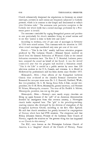Church substantially sharpened the stipulations in Germany on mixed marriages, partners in such unions are frequently subjected to Catholic pressure, which is in contrast to the Gospel and detrimental to today's joint Christian tasks." The statement took particular exception to the Catholic law which holds that a mixed marriage performed by a Protestant pastor is invalid.

The statement concluded by urging Evangelical pastors and parishes to care particularly for church members living in mixed unions and to see that "justice is done to both love and truth."

According to statistics, over 25 per cent of marriages in Germany in 1956 were mixed unions. This contrasts with the situation in 1901 when mixed marriages numbered only nine per cent of the total.

*Detroit.* - "This Is the Life," weekly half-hour television program produced by The Lutheran Church-Missouri Synod, received an award from the General Federation of Women's Clubs at the annual federation convention here. The Rev. E. T. Bernthal, Lutheran pastor here, accepted the award on behalf of the Synod. It was the second consecutive year that the program had received a federation award. "This Is the Life" is carried as a public service by more than 320 television stations in the U. S., Canada, and overseas. It is filmed in Hollywood by professionals and has been shown since October 1952.

*Minneapolis, Minn.* - Four officers of the Evangelical Lutheran Church were re-elected at the church's biennial convention here. Renamed for two-year terms were Dr. S. C. Eastvold, Parkland, Wash., first vice-president; Dr. 1. M. Stavig, Sioux Falls, S. Dak., second vicepresident; Dr. O. H. Hove, Minneapolis, general secretary; and Norman H. Nelson, Minneapolis, treasurer. The term of Dr. Fredrik A. Schiotz, Minneapolis, president, was not up this year.

*Minneapolis, Minn.* - Norway's once nearly empty churches are filling up again because of the "gift" of an American denomination founded by immigrants from that overseas country, a Norwegian church leader reported here. The "gift" is the preaching-teachingreaching mission idea developed by the division of evangelism of the Evangelical Lutheran Church, according to the Rev. Olav Egeland. He said that church attendance has greatly increased in congregations of Norway which have had PTR missions. The clergyman said that Bishop Johannes Smemo, Primate of the Lutheran State Church of Norway, regards the missions as "the greatest thing that has happened to our Church in this century."

The ELC, once known as the Norwegian Lutheran Church of America, is a "daughter" church of the Church of Norway. Pastor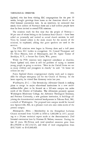Egeland, who has been visiting ELC congregations for the past 10 weeks, brought greetings from home to the American church at its 23rd biennial convention here. In an interview, he estimated that nearly three million of Norway's three and a half million people have thus far been invited to attend PTR missions.

The missions mark the first time that the people of  $Norway-$ 96 per cent of whom belong to the Lutheran State Church - have been called on personally and invited to attend church services, he said. Visits by trained callers is the main reason for the success of the missions, he explained, adding that guest speakers are used in the services.

The PTR missions were begun in Norway three and a half years ago by three ELC leaders in evangelism: Dr. Conrad Thompson and Dr. Oscar Hanson, both of Minneapolis, and Dr. Agnar Tannar of Brooklyn, N. Y, a former Eau Claire, Wis., pastor.

While the PTR missions have improved attendance at churches, Pastor Egeland said, there is still the problem of trying to interest young people in going to services. "Here in the United States we see so many children and youngsters in church," he said. "At home we seldom see any."

Pastor Egeland directs congregational charity work and is responsible for refugee emergency aid for the Church of Norway. In the latter capacity, he visited East Germany twice last year.

*Washington, D.C.* - The Seventh-day Adventist Church is making plans to merge its major educational institutions in a new multimillion-dollar plant to be located on a 263-acre campus ten miles north of the District of Columbia. The Adventists presently operate Washington Missionary College, the Adventist Theological Seminary, and Potomac University, a new graduate institution, in buildings adjoining the denomination's national headquarters in Takoma Park, Md., a suburb of Washington. The proposed new campus would be located near Spencerville, Md., in a pleasant rural area nine miles north of the present campus.

*Minneapolis, Minn.* - Membership in the Evangelical Lutheran Church increased from 512,000 in 1938 to 1,083,000 in 1957, according to a 20-year statistical report made at the denomination's 23rd biennial convention here by Norman H. Nelson, treasurer. During the last 20 years, Mr. Nelson said, total synodical resources grew from  $$11,390,608$  to  $$47,318,721$ ; and those of local congregations from \$19,776,661 to \$145,849,469.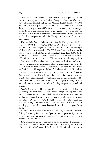*Blair, Nebr.* — An increase in membership of  $4\frac{1}{2}$  per cent in the past year was reported by the United Evangelical Lutheran Church at its 62nd annual convention here. Dr. William Larson, church president, said that membership now totalled 64,529. Total benevolent income during the past year was \$540,000, and church members gave \$80 per capita, he said. He reported that 16 new pastors were to be received into the church at the convention. Commencement of mission work in Brazil in co-operation with the Evangelical Lutheran Church was announced.

*Winona Lake, Ind.* - Delegates attending the 23rd quadrennial General Conference of the Pilgrim Holiness Church here approved, 321 to 100, a proposed merger of their denomination with the Wesleyan Methodist Church of America. The Wesleyan Church will vote on the union at its General Conference at Fairmount, Ind., June 1959. If the union is consummated, it would create a new denomination of about 100,000 communicants in some 2,000 widely scattered congregations.

Last March a lO-member joint commission of both denominations voted at a meeting in Cincinnati, Ohio, to recommend union of the two churches to their General Conferences. Doctrinally the two bodies are both in the Wesleyan tradition of fundamental early Methodism.

*Berlin.* - The Rev. Ernst Willy Kohl, a Lutheran pastor of Nossen, Saxony, was sentenced by a Communist court in Dresden to three and a half years' imprisonment for "anti-state slander and agitation." The clergyman was arrested last December for allegedly refusing to bury an atheist woman, a member of a local farming co-operative, in a church cemetery.

Cambridge, Mass. - Dr. Nathan M. Pusey, president of Harvard University, declared here that the "shortcomings" among some who would advance religion have aided the cause of secularism. He told graduating Harvard seniors in a baccalaureate address that in some instances secularism "has itself become a faith and raised a hope that man can through his own efforts — without  $God$  -solve all the remaining problems which stand between him and a secular paradise on earth."

Religion, as it is frequently practiced, he said, has several "aesthetic failings." Among them he cited "poor music, impossible hymns, unhelpful moralistic sermons, and the mistaken notion that one goes to church as a favor to God."

Lake Junaluska, N. C. - Concern over recent renewed activities of the Ku Klux Klan in North Carolina was expressed by the Western North Carolina Conference of the Methodist Church, which also went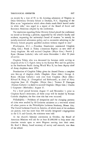on record, by a vote of 91 to 46, favoring admission of Negroes to Duke University Divinity School at Durham, N. C. Exposing of the Klan as an "organization which often cloaks much black hatred under its white robe," was urged in a report of the Board of Social and Economic Relations adopted by the conference.

The resolution regarding Duke Divinity School placed the conference on record as favoring a petition, supported by the school's faculty and students, requesting the university's board of trustees "to restudy its racially-restricted admissions policy, and to reconsider admitting to the Divinity School properly qualified students without regard to race."

*Washington, D.C.* - President Eisenhower nominated Chaplain (Brig. Gen.) Frank A. Tobey (American Baptist) as new chief of Army chaplains. He will succeed Chaplain (Major Gen.) Patrick J. Ryan (Roman Catholic) who will retire November 1 after 30 years of service.

Chaplain Tobey, who was decorated for heroism while serving as chaplain of the U. S. Eighth Army in the Korean War and for gallantry in the Southwest Pacific during World War II, has been deputy chief of Army chaplains since 1954.

Nomination of Chaplain Tobey gives the Armed Forces a complete new line-up of chaplain chiefs. Chaplain (Rear Adm.) George A. Rosso (Roman Catholic) took over from Chaplain (Rear Adm.) Edward B. Harp, Jr. (Evangelical and Reformed), as chief of Navy chaplains June 10. Chaplain (Major Gen.) Terence P. Finnegan (Roman Catholic) is slated to succeed Chaplain (Major Gen.) Charles I. Carpenter (Methodist) August 15.

For a brief period between August 15 and November 1, prior to Chaplain Ryan's retirement, all three corps will be headed by Roman Catholic chaplains, the first time this has ever occurred.

*Philadelphia.* - Problems of integration and the changing patterns of cities were studied by 60 Lutheran ministers at a two-week school of urban pastors at the Philadelphia Lutheran Seminary, Mount Airy. The United Lutheran Church in America, of which most of the students are pastors, now has more than 300 racially integrated congregations in the U. S. and Canada, the ministers were told.

At the church's biennial convention in October, the Board of American Missions will ask for at least \$1,000,000 to help some city churches remain open to serve Negroes moving into their areas. Dr. Karl S. Henry, board secretary of survey and research, was dean of the school.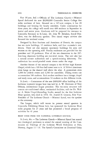Fort Wayne, Ind. - Officials of The Lutheran Church - Missouri Synod dedicated the new \$8,000,000 Concordia Senior College five miles northeast of here. Situated on a 187 -acre campus, it has 28 buildings and housing for faculty members. Under construction for three years, the college will enroll over 400 students in September in junior and senior years. Graduates will be prepared for entrance to Concordia Seminary in St. Louis. Dr. John W. Behnken, Synod President, was the dedicatory speaker. Two choral vesper services also featured the weekend events.

Designed by Eero Saarinen and Associates of Detroit, the campus has ten main buildings, 12 residence halls, and four counselor's residences. There are also separate apartment buildings for men and women on the operating staff. Faculty residences are provided for the president and 18 professors. Five of the ten classrooms in the 207 foot-long classroom building are two-level rooms. The unit also has a natural science auditorium and a speech-training laboratory. The auditorium has sound-proofed music rooms under the stage.

Another feature of the unusual campus is the 86-foot high Kramer Chapel, which has a 106-foot bell tower next to it. A 50-foot aluminum cross hangs on the chancel wall above the altar. A gymnasium seats 1,800 for athletic events and 3,200 for assemblies. Dining rooms can accommodate 500 students. Each student residence has a lounge, chapel and study room, and accommodates 34 students on five different levels.

*St. Louis.* - Cornerstone of the new \$400,000 office building of the Lutheran Laymen's League here was laid by A. W. Hermann of New Orleans, international league president. The two-story structure will contain air-conditioned offices, mechanical facilities, and the Dr. Walter A. Maier Chapel-Recording Studio, named for the first Lutheran Hour speaker, who died in 1950. Dr. Arnold H. Grumm, First Vice-President of The Lutheran Church - Missouri Synod, was the speaker at the ceremony.

The League, which will vacate its present rented quarters in Concordia Publishing House here, has sponsored the Lutheran Hour radio program for 25 years and has promoted a broad program of activities for 41 years.

## BRIEF ITEMS FROM THE NATIONAL LUTHERAN COUNCIL

St. Louis, Mo. - The Lutheran Church - Missouri Synod has named two theological professors to attend the annual meeting of the Commission on Theology of the Lutheran World Federation at Oslo, Norway, August 11-16. The Synod's Committee on Doctrinal Unity